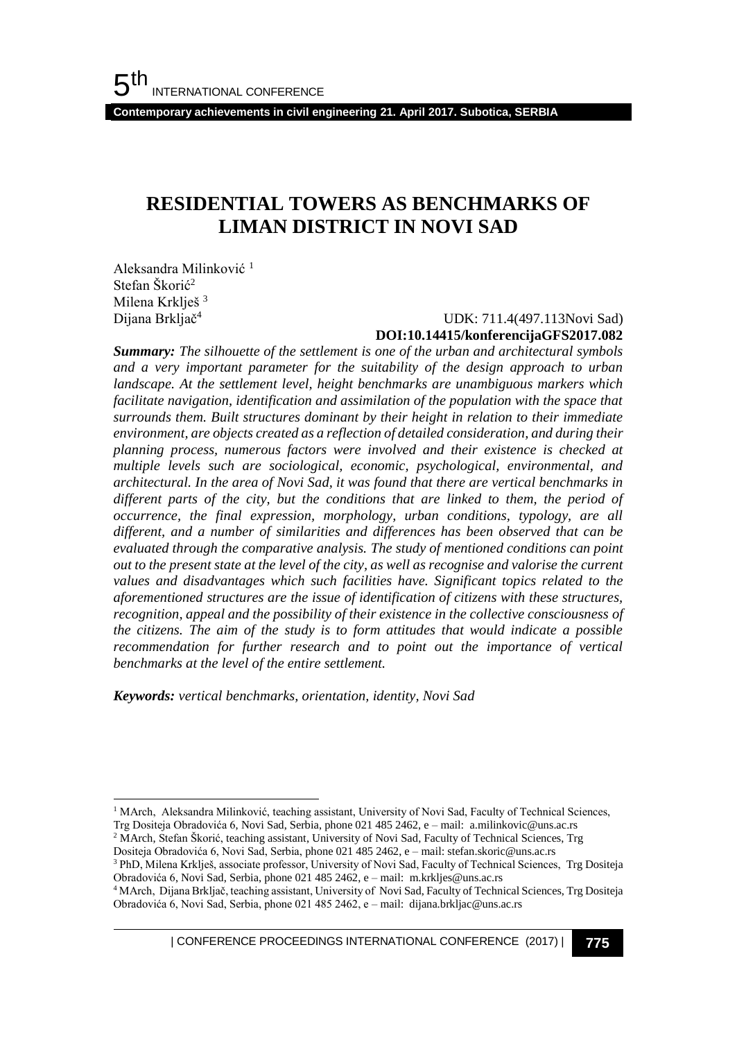**Contemporary achievements in civil engineering 21. April 2017. Subotica, SERBIA**

# **RESIDENTIAL TOWERS AS BENCHMARKS OF LIMAN DISTRICT IN NOVI SAD**

Aleksandra Milinković<sup>1</sup> Stefan Škorić<sup>2</sup> Milena Krklješ<sup>3</sup> Dijana Brkljač<sup>4</sup>

l

# UDK: 711.4(497.113Novi Sad) **DOI:10.14415/konferencijaGFS2017.082**

*Summary: The silhouette of the settlement is one of the urban and architectural symbols and a very important parameter for the suitability of the design approach to urban landscape. At the settlement level, height benchmarks are unambiguous markers which facilitate navigation, identification and assimilation of the population with the space that surrounds them. Built structures dominant by their height in relation to their immediate environment, are objects created as a reflection of detailed consideration, and during their planning process, numerous factors were involved and their existence is checked at multiple levels such are sociological, economic, psychological, environmental, and architectural. In the area of Novi Sad, it was found that there are vertical benchmarks in different parts of the city, but the conditions that are linked to them, the period of occurrence, the final expression, morphology, urban conditions, typology, are all different, and a number of similarities and differences has been observed that can be evaluated through the comparative analysis. The study of mentioned conditions can point out to the present state at the level of the city, as well as recognise and valorise the current values and disadvantages which such facilities have. Significant topics related to the aforementioned structures are the issue of identification of citizens with these structures, recognition, appeal and the possibility of their existence in the collective consciousness of the citizens. The aim of the study is to form attitudes that would indicate a possible recommendation for further research and to point out the importance of vertical benchmarks at the level of the entire settlement.*

*Keywords: vertical benchmarks, orientation, identity, Novi Sad*

Trg Dositeja Obradovića 6, Novi Sad, Serbia, phone 021 485 2462, e – mail: a.milinkovic@uns.ac.rs <sup>2</sup> MArch, Stefan Škorić, teaching assistant, University of Novi Sad, Faculty of Technical Sciences, Trg

<sup>&</sup>lt;sup>1</sup> MArch, Aleksandra Milinković, teaching assistant, University of Novi Sad, Faculty of Technical Sciences,

Dositeja Obradovića 6, Novi Sad, Serbia, phone 021 485 2462, e – mail: stefan.skoric@uns.ac.rs <sup>3</sup> PhD, Milena Krklješ, associate professor, University of Novi Sad, Faculty of Technical Sciences, Trg Dositeja Obradovića 6, Novi Sad, Serbia, phone 021 485 2462, e – mail: m.krkljes@uns.ac.rs

<sup>4</sup> MArch, Dijana Brkljač, teaching assistant, University of Novi Sad, Faculty of Technical Sciences, Trg Dositeja Obradovića 6, Novi Sad, Serbia, phone 021 485 2462, e – mail: dijana.brkljac@uns.ac.rs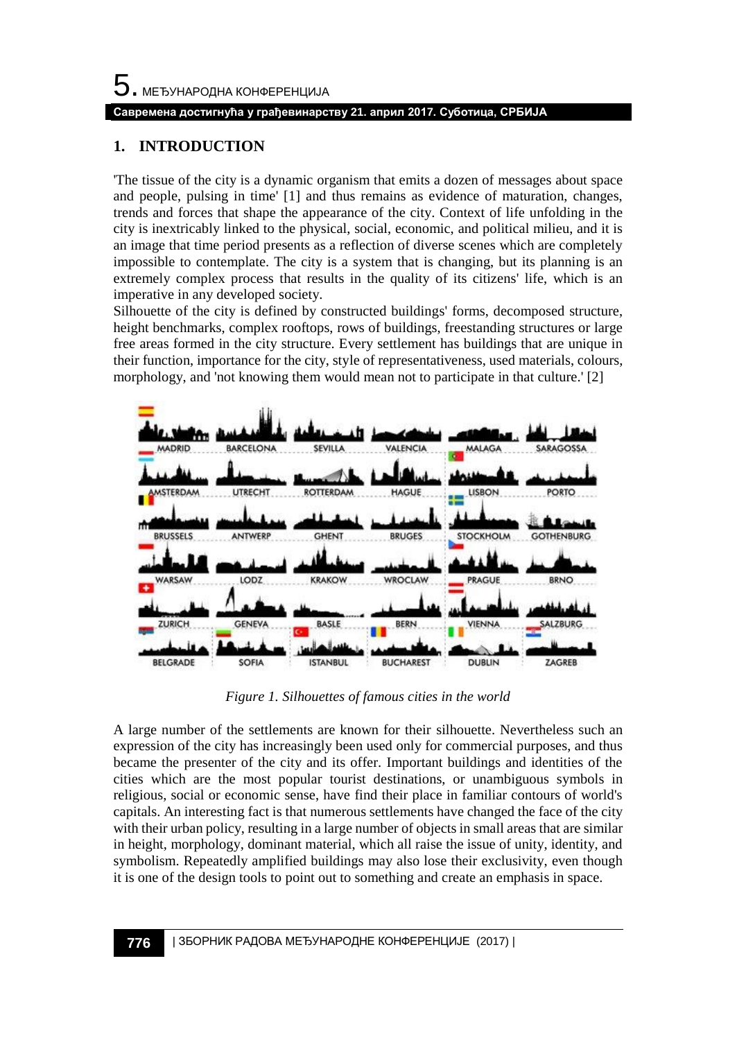### **Савремена достигнућа у грађевинарству 21. април 2017. Суботица, СРБИЈА**

### **1. INTRODUCTION**

'The tissue of the city is a dynamic organism that emits a dozen of messages about space and people, pulsing in time' [1] and thus remains as evidence of maturation, changes, trends and forces that shape the appearance of the city. Context of life unfolding in the city is inextricably linked to the physical, social, economic, and political milieu, and it is an image that time period presents as a reflection of diverse scenes which are completely impossible to contemplate. The city is a system that is changing, but its planning is an extremely complex process that results in the quality of its citizens' life, which is an imperative in any developed society.

Silhouette of the city is defined by constructed buildings' forms, decomposed structure, height benchmarks, complex rooftops, rows of buildings, freestanding structures or large free areas formed in the city structure. Every settlement has buildings that are unique in their function, importance for the city, style of representativeness, used materials, colours, morphology, and 'not knowing them would mean not to participate in that culture.' [2]



*Figure 1. Silhouettes of famous cities in the world*

A large number of the settlements are known for their silhouette. Nevertheless such an expression of the city has increasingly been used only for commercial purposes, and thus became the presenter of the city and its offer. Important buildings and identities of the cities which are the most popular tourist destinations, or unambiguous symbols in religious, social or economic sense, have find their place in familiar contours of world's capitals. An interesting fact is that numerous settlements have changed the face of the city with their urban policy, resulting in a large number of objects in small areas that are similar in height, morphology, dominant material, which all raise the issue of unity, identity, and symbolism. Repeatedly amplified buildings may also lose their exclusivity, even though it is one of the design tools to point out to something and create an emphasis in space.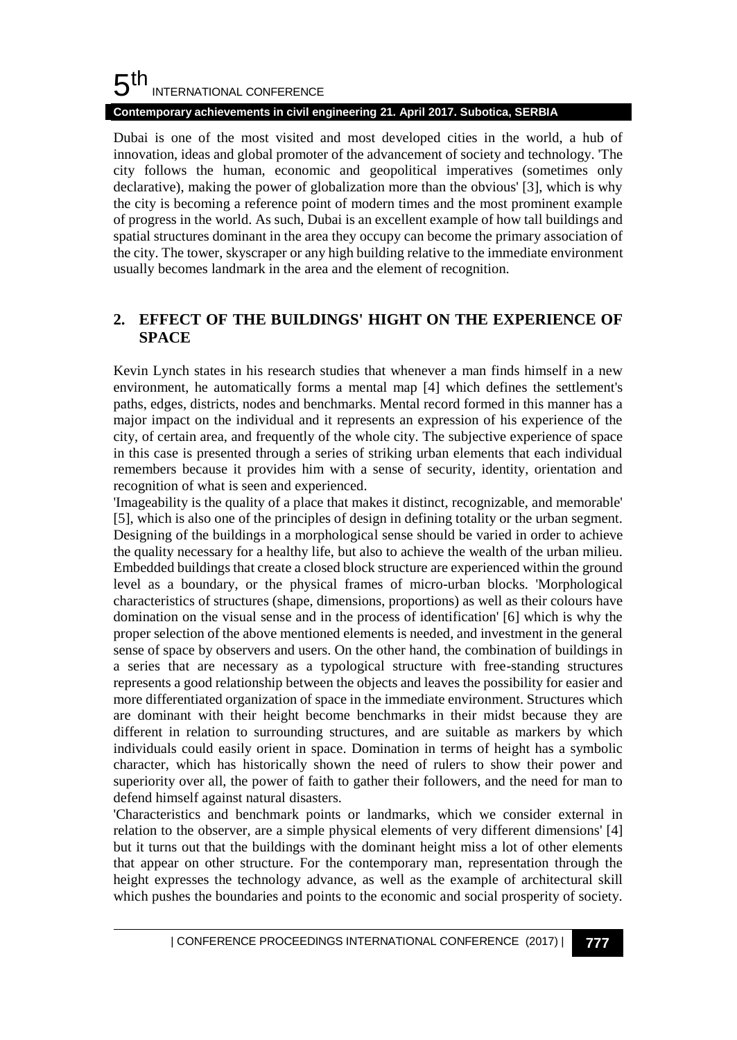#### 5 th INTERNATIONAL CONFERENCE

### **Contemporary achievements in civil engineering 21. April 2017. Subotica, SERBIA**

Dubai is one of the most visited and most developed cities in the world, a hub of innovation, ideas and global promoter of the advancement of society and technology. 'The city follows the human, economic and geopolitical imperatives (sometimes only declarative), making the power of globalization more than the obvious' [3], which is why the city is becoming a reference point of modern times and the most prominent example of progress in the world. As such, Dubai is an excellent example of how tall buildings and spatial structures dominant in the area they occupy can become the primary association of the city. The tower, skyscraper or any high building relative to the immediate environment usually becomes landmark in the area and the element of recognition.

# **2. EFFECT OF THE BUILDINGS' HIGHT ON THE EXPERIENCE OF SPACE**

Kevin Lynch states in his research studies that whenever a man finds himself in a new environment, he automatically forms a mental map [4] which defines the settlement's paths, edges, districts, nodes and benchmarks. Mental record formed in this manner has a major impact on the individual and it represents an expression of his experience of the city, of certain area, and frequently of the whole city. The subjective experience of space in this case is presented through a series of striking urban elements that each individual remembers because it provides him with a sense of security, identity, orientation and recognition of what is seen and experienced.

'Imageability is the quality of a place that makes it distinct, recognizable, and memorable' [5], which is also one of the principles of design in defining totality or the urban segment. Designing of the buildings in a morphological sense should be varied in order to achieve the quality necessary for a healthy life, but also to achieve the wealth of the urban milieu. Embedded buildings that create a closed block structure are experienced within the ground level as a boundary, or the physical frames of micro-urban blocks. 'Morphological characteristics of structures (shape, dimensions, proportions) as well as their colours have domination on the visual sense and in the process of identification' [6] which is why the proper selection of the above mentioned elements is needed, and investment in the general sense of space by observers and users. On the other hand, the combination of buildings in a series that are necessary as a typological structure with free-standing structures represents a good relationship between the objects and leaves the possibility for easier and more differentiated organization of space in the immediate environment. Structures which are dominant with their height become benchmarks in their midst because they are different in relation to surrounding structures, and are suitable as markers by which individuals could easily orient in space. Domination in terms of height has a symbolic character, which has historically shown the need of rulers to show their power and superiority over all, the power of faith to gather their followers, and the need for man to defend himself against natural disasters.

'Characteristics and benchmark points or landmarks, which we consider external in relation to the observer, are a simple physical elements of very different dimensions' [4] but it turns out that the buildings with the dominant height miss a lot of other elements that appear on other structure. For the contemporary man, representation through the height expresses the technology advance, as well as the example of architectural skill which pushes the boundaries and points to the economic and social prosperity of society.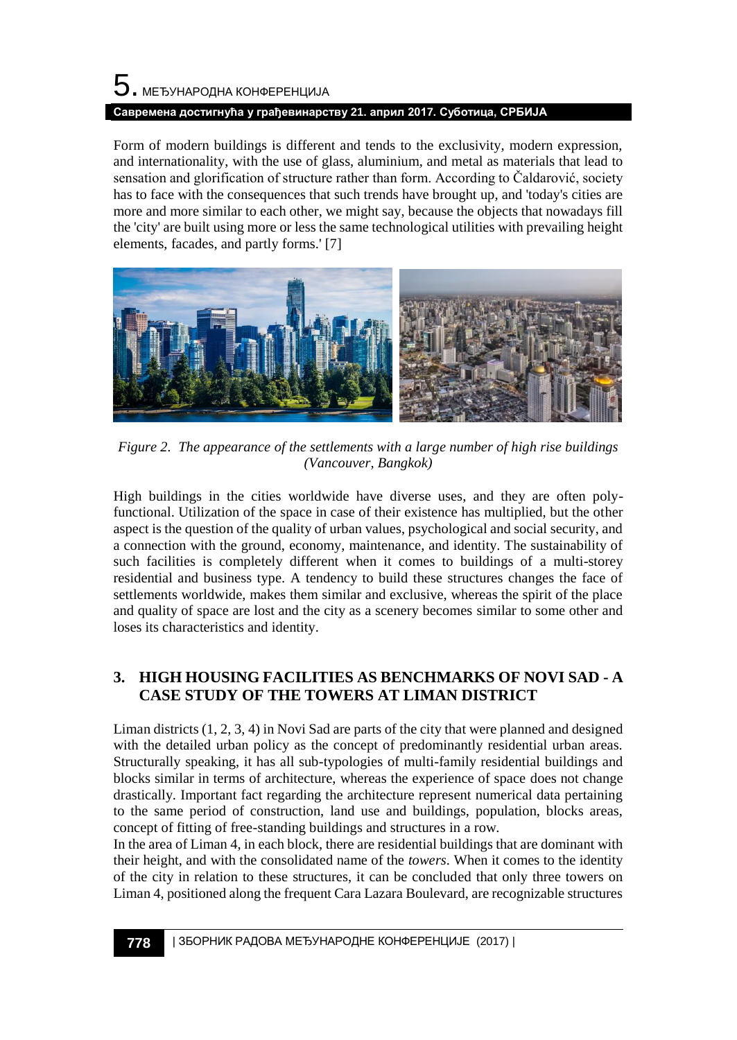# $\mathbf 5$ . међународна конференција **Савремена достигнућа у грађевинарству 21. април 2017. Суботица, СРБИЈА**

Form of modern buildings is different and tends to the exclusivity, modern expression, and internationality, with the use of glass, aluminium, and metal as materials that lead to sensation and glorification of structure rather than form. According to Čaldarović, society has to face with the consequences that such trends have brought up, and 'today's cities are more and more similar to each other, we might say, because the objects that nowadays fill the 'city' are built using more or less the same technological utilities with prevailing height elements, facades, and partly forms.' [7]



*Figure 2. The appearance of the settlements with a large number of high rise buildings (Vancouver, Bangkok)*

High buildings in the cities worldwide have diverse uses, and they are often polyfunctional. Utilization of the space in case of their existence has multiplied, but the other aspect is the question of the quality of urban values, psychological and social security, and a connection with the ground, economy, maintenance, and identity. The sustainability of such facilities is completely different when it comes to buildings of a multi-storey residential and business type. A tendency to build these structures changes the face of settlements worldwide, makes them similar and exclusive, whereas the spirit of the place and quality of space are lost and the city as a scenery becomes similar to some other and loses its characteristics and identity.

# **3. HIGH HOUSING FACILITIES AS BENCHMARKS OF NOVI SAD - A CASE STUDY OF THE TOWERS AT LIMAN DISTRICT**

Liman districts  $(1, 2, 3, 4)$  in Novi Sad are parts of the city that were planned and designed with the detailed urban policy as the concept of predominantly residential urban areas. Structurally speaking, it has all sub-typologies of multi-family residential buildings and blocks similar in terms of architecture, whereas the experience of space does not change drastically. Important fact regarding the architecture represent numerical data pertaining to the same period of construction, land use and buildings, population, blocks areas, concept of fitting of free-standing buildings and structures in a row.

In the area of Liman 4, in each block, there are residential buildings that are dominant with their height, and with the consolidated name of the *towers*. When it comes to the identity of the city in relation to these structures, it can be concluded that only three towers on Liman 4, positioned along the frequent Cara Lazara Boulevard, are recognizable structures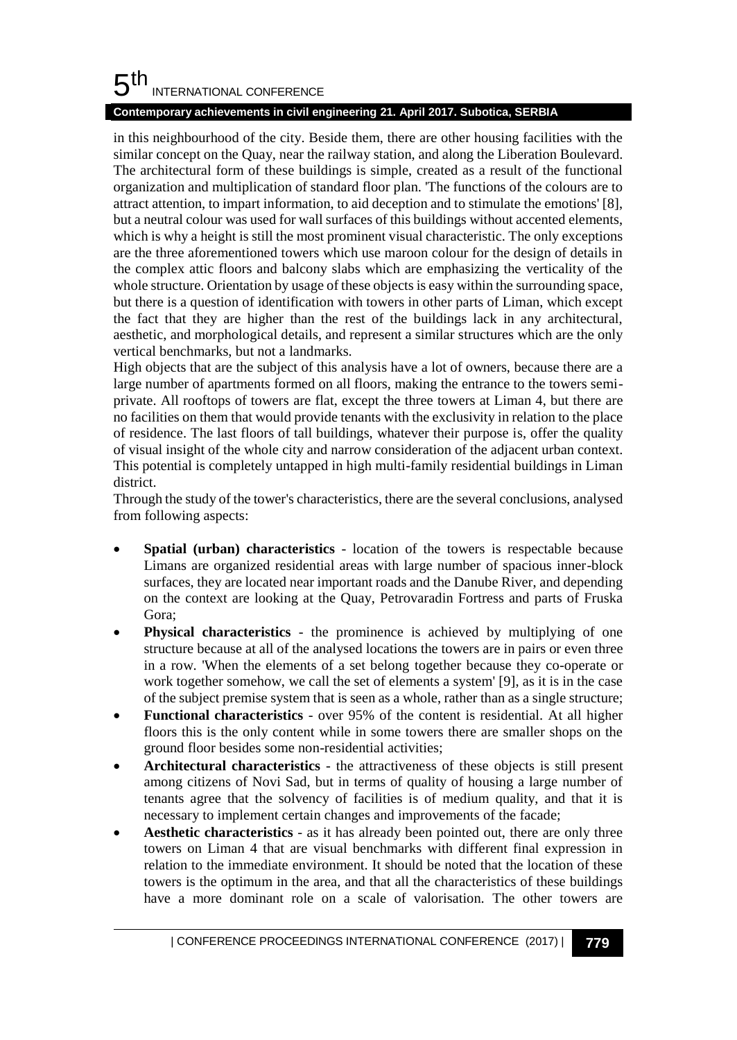#### 5 th INTERNATIONAL CONFERENCE

### **Contemporary achievements in civil engineering 21. April 2017. Subotica, SERBIA**

in this neighbourhood of the city. Beside them, there are other housing facilities with the similar concept on the Quay, near the railway station, and along the Liberation Boulevard. The architectural form of these buildings is simple, created as a result of the functional organization and multiplication of standard floor plan. 'The functions of the colours are to attract attention, to impart information, to aid deception and to stimulate the emotions' [8], but a neutral colour was used for wall surfaces of this buildings without accented elements, which is why a height is still the most prominent visual characteristic. The only exceptions are the three aforementioned towers which use maroon colour for the design of details in the complex attic floors and balcony slabs which are emphasizing the verticality of the whole structure. Orientation by usage of these objects is easy within the surrounding space, but there is a question of identification with towers in other parts of Liman, which except the fact that they are higher than the rest of the buildings lack in any architectural, aesthetic, and morphological details, and represent a similar structures which are the only vertical benchmarks, but not a landmarks.

High objects that are the subject of this analysis have a lot of owners, because there are a large number of apartments formed on all floors, making the entrance to the towers semiprivate. All rooftops of towers are flat, except the three towers at Liman 4, but there are no facilities on them that would provide tenants with the exclusivity in relation to the place of residence. The last floors of tall buildings, whatever their purpose is, offer the quality of visual insight of the whole city and narrow consideration of the adjacent urban context. This potential is completely untapped in high multi-family residential buildings in Liman district.

Through the study of the tower's characteristics, there are the several conclusions, analysed from following aspects:

- **Spatial (urban) characteristics** location of the towers is respectable because Limans are organized residential areas with large number of spacious inner-block surfaces, they are located near important roads and the Danube River, and depending on the context are looking at the Quay, Petrovaradin Fortress and parts of Fruska Gora;
- **Physical characteristics** the prominence is achieved by multiplying of one structure because at all of the analysed locations the towers are in pairs or even three in a row. 'When the elements of a set belong together because they co-operate or work together somehow, we call the set of elements a system' [9], as it is in the case of the subject premise system that is seen as a whole, rather than as a single structure;
- **Functional characteristics** over 95% of the content is residential. At all higher floors this is the only content while in some towers there are smaller shops on the ground floor besides some non-residential activities;
- **Architectural characteristics** the attractiveness of these objects is still present among citizens of Novi Sad, but in terms of quality of housing a large number of tenants agree that the solvency of facilities is of medium quality, and that it is necessary to implement certain changes and improvements of the facade;
- **Aesthetic characteristics** as it has already been pointed out, there are only three towers on Liman 4 that are visual benchmarks with different final expression in relation to the immediate environment. It should be noted that the location of these towers is the optimum in the area, and that all the characteristics of these buildings have a more dominant role on a scale of valorisation. The other towers are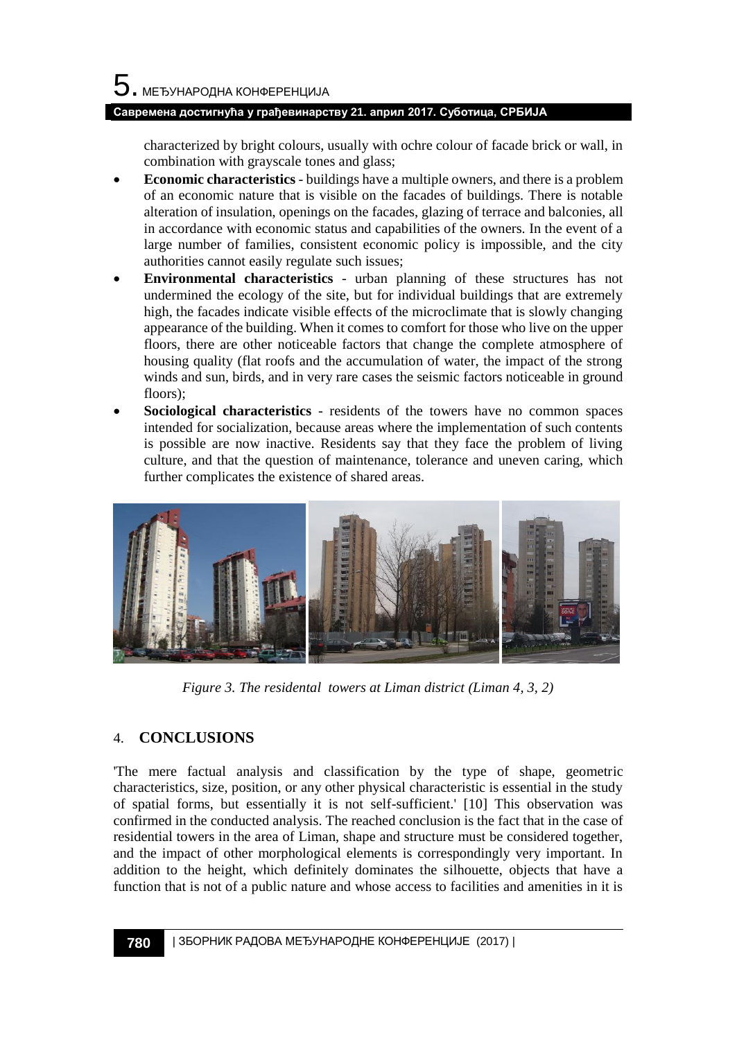### **Савремена достигнућа у грађевинарству 21. април 2017. Суботица, СРБИЈА**

characterized by bright colours, usually with ochre colour of facade brick or wall, in combination with grayscale tones and glass;

- **Economic characteristics** buildings have a multiple owners, and there is a problem of an economic nature that is visible on the facades of buildings. There is notable alteration of insulation, openings on the facades, glazing of terrace and balconies, all in accordance with economic status and capabilities of the owners. In the event of a large number of families, consistent economic policy is impossible, and the city authorities cannot easily regulate such issues;
- **Environmental characteristics** urban planning of these structures has not undermined the ecology of the site, but for individual buildings that are extremely high, the facades indicate visible effects of the microclimate that is slowly changing appearance of the building. When it comes to comfort for those who live on the upper floors, there are other noticeable factors that change the complete atmosphere of housing quality (flat roofs and the accumulation of water, the impact of the strong winds and sun, birds, and in very rare cases the seismic factors noticeable in ground floors);
- **Sociological characteristics** residents of the towers have no common spaces intended for socialization, because areas where the implementation of such contents is possible are now inactive. Residents say that they face the problem of living culture, and that the question of maintenance, tolerance and uneven caring, which further complicates the existence of shared areas.



*Figure 3. The residental towers at Liman district (Liman 4, 3, 2)*

# 4. **CONCLUSIONS**

'The mere factual analysis and classification by the type of shape, geometric characteristics, size, position, or any other physical characteristic is essential in the study of spatial forms, but essentially it is not self-sufficient.' [10] This observation was confirmed in the conducted analysis. The reached conclusion is the fact that in the case of residential towers in the area of Liman, shape and structure must be considered together, and the impact of other morphological elements is correspondingly very important. In addition to the height, which definitely dominates the silhouette, objects that have a function that is not of a public nature and whose access to facilities and amenities in it is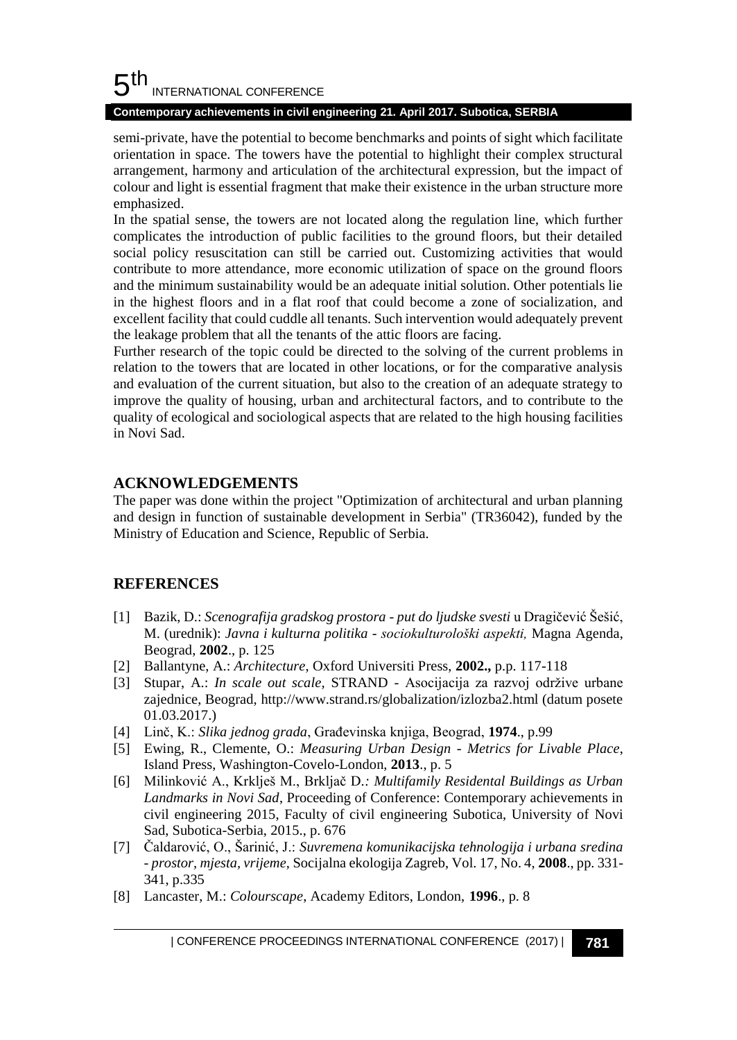#### 5 th INTERNATIONAL CONFERENCE

### **Contemporary achievements in civil engineering 21. April 2017. Subotica, SERBIA**

semi-private, have the potential to become benchmarks and points of sight which facilitate orientation in space. The towers have the potential to highlight their complex structural arrangement, harmony and articulation of the architectural expression, but the impact of colour and light is essential fragment that make their existence in the urban structure more emphasized.

In the spatial sense, the towers are not located along the regulation line, which further complicates the introduction of public facilities to the ground floors, but their detailed social policy resuscitation can still be carried out. Customizing activities that would contribute to more attendance, more economic utilization of space on the ground floors and the minimum sustainability would be an adequate initial solution. Other potentials lie in the highest floors and in a flat roof that could become a zone of socialization, and excellent facility that could cuddle all tenants. Such intervention would adequately prevent the leakage problem that all the tenants of the attic floors are facing.

Further research of the topic could be directed to the solving of the current problems in relation to the towers that are located in other locations, or for the comparative analysis and evaluation of the current situation, but also to the creation of an adequate strategy to improve the quality of housing, urban and architectural factors, and to contribute to the quality of ecological and sociological aspects that are related to the high housing facilities in Novi Sad.

### **ACKNOWLEDGEMENTS**

The paper was done within the project "Optimization of architectural and urban planning and design in function of sustainable development in Serbia" (TR36042), funded by the Ministry of Education and Science, Republic of Serbia.

# **REFERENCES**

- [1] Bazik, D.: *Scenografija gradskog prostora - put do ljudske svesti* u Dragičević Šešić, M. (urednik): *Javna i kulturna politika - sociokulturološki aspekti,* Magna Agenda, Beograd, **2002**., p. 125
- [2] Ballantyne, A.: *Architecture*, Oxford Universiti Press, **2002.,** p.p. 117-118
- [3] Stupar, A.: *In scale out scale,* STRAND Asocijacija za razvoj održive urbane zajednice, Beograd, http://www.strand.rs/globalization/izlozba2.html (datum posete 01.03.2017.)
- [4] Linč, K.: *Slika jednog grada*, Građevinska knjiga, Beograd, **1974**., p.99
- [5] Ewing, R., Clemente, O.: *Measuring Urban Design - Metrics for Livable Place*, Island Press, Washington-Covelo-London, **2013**., p. 5
- [6] Milinković A., Krklješ M., Brkljač D*.: Multifamily Residental Buildings as Urban Landmarks in Novi Sad*, Proceeding of Conference: Contemporary achievements in civil engineering 2015, Faculty of civil engineering Subotica, University of Novi Sad, Subotica-Serbia, 2015., p. 676
- [7] Čaldarović, O., Šarinić, J.: *Suvremena komunikacijska tehnologija i urbana sredina - prostor, mjesta, vrijeme,* Socijalna ekologija Zagreb, Vol. 17, No. 4, **2008**., pp. 331- 341, p.335
- [8] Lancaster, M.: *Colourscape*, Academy Editors, London, **1996**., p. 8